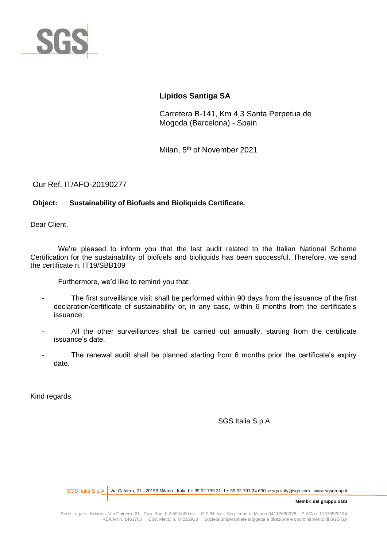

# **Lipidos Santiga SA**

Carretera B-141, Km 4,3 Santa Perpetua de Mogoda (Barcelona) - Spain

Milan, 5<sup>th</sup> of November 2021

Our Ref. IT/AFO-20190277

# **Object: Sustainability of Biofuels and Bioliquids Certificate.**

Dear Client,

We're pleased to inform you that the last audit related to the Italian National Scheme Certification for the sustainability of biofuels and bioliquids has been successful. Therefore, we send the certificate n. IT19/SBB109

Furthermore, we'd like to remind you that:

- The first surveillance visit shall be performed within 90 days from the issuance of the first declaration/certificate of sustainability or, in any case, within 6 months from the certificate's issuance;
- All the other surveillances shall be carried out annually, starting from the certificate issuance's date.
- The renewal audit shall be planned starting from 6 months prior the certificate's expiry date.

Kind regards,

SGS Italia S.p.A.

Via Caldera, 21 - 20153 Milano - Italy **t** + 39 02 739 31 **f** + 39 02 701 24 630 **e** sgs.italy@sgs.com www.sgsgroup.it SGS Italia S.p.A.

**Membri del gruppo SGS**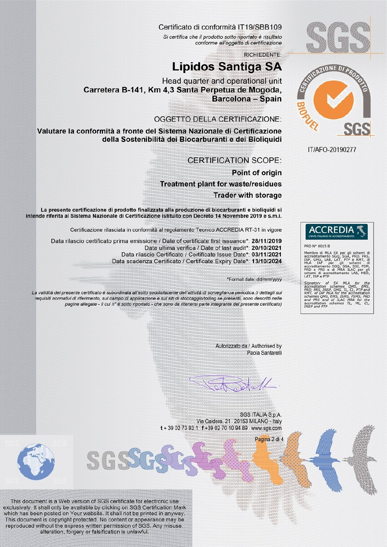

# Certificato di conformità IT19/SBB109

Si certifica che il prodotto sotto riportato è risultato conforme all'oggetto di certificazione

**RICHIEDENTE:** 

# **Lipidos Santiga SA**

Head quarter and operational unit Carretera B-141, Km 4.3 Santa Perpetua de Mogoda. **Barcelona - Spain** 

# **OGGETTO DELLA CERTIFICAZIONE:**

Valutare la conformità a fronte del Sistema Nazionale di Certificazione della Sostenibilità dei Biocarburanti e dei Bioliquidi

**CERTIFICATION SCOPE:** 

Point of origin **Treatment plant for waste/residues Trader with storage** 

La presente certificazione di prodotto finalizzata alla produzione di biocarburanti e bioliquidi si intende riferita al Sistema Nazionale di Certificazione istituito con Decreto 14 Novembre 2019 e s.m.i.

Certificazione rilasciata in conformità al regolamento Tecnico ACCREDIA RT-31 in vigore

Data rilascio certificato prima emissione / Date of certificate first issuance\*: 28/11/2019 Data ultima verifica / Date of last audit\*: 20/10/2021 Data rilascio Certificato / Certificate Issue Date\*: 03/11/2021 Data scadenza Certificato / Certificate Expiry Date\*: 13/10/2024

\*Format date: dd/mm/yyyy

La validità del presente certificato è subordinata all'esito soddisfacente dell'attività di sorveglianza periodica (i dettagli sui requisiti normativi di riferimento, sul campo di applicazione e sui siti di stoccaggio/tolling se presenti, sono descritti nelle pagine allegate - il cui nº è sotto riportato - che sono da ritenersi parte integrante del presente certificato)

> Autorizzato da / Authorised by Paola Santarelli

> > Pagina 2 di 4

 $\mathcal{U}$ 

SGS ITALIA S.p.A. Via Caldera, 21 20153 MILANO - Italy t + 39 02 73 93 1 f +39 02 70 10 94 89 www.sgs.com



This document is a Web version of SGS certificate for electronic use exclusively. It shall only be available by clicking on SGS Certification Mark which has been posted on Your website. It shall not be printed in anyway. This document is copyright protected. No content or appearance may be reproduced without the express written permission of SGS. Any misuse, alteration, forgery or falsification is unlawful.

GGI



IT/AFO-20190277

0015 B

u MLA EA per g<br>editamento SGQ, SGA<br>GHG, LAB, LAT, PTP<br>IAF per gli<br>editamento SGQ, SGA,<br>e PRS e di MRA IL<br>mi di accreditament^<br>ISP e PTP Membro di MLA EA

editation schemes MLA<br>PRS, INSP, GHG, TL, CL,<br>of IAF MLA for the accurace<br>mes QMS, EMS, ISMS, FSP<br>PRS and of ILAC MRA<br>ditation schemes TL,<br>and PTP uon<br>PRD ML.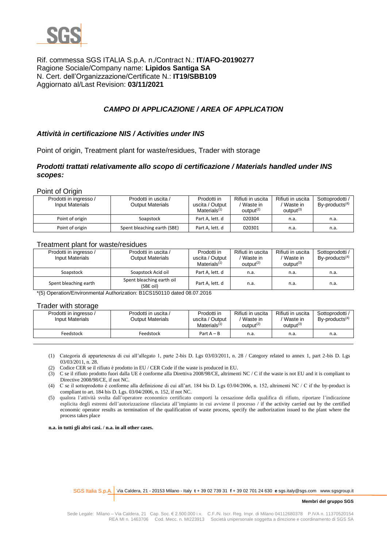

## Rif. commessa SGS ITALIA S.p.A. n./Contract N.: **IT/AFO-20190277** Ragione Sociale/Company name: **Lipidos Santiga SA** N. Cert. dell'Organizzazione/Certificate N.: **IT19/SBB109** Aggiornato al/Last Revision: **03/11/2021**

# *CAMPO DI APPLICAZIONE / AREA OF APPLICATION*

### *Attività in certificazione NIS / Activities under INS*

Point of origin, Treatment plant for waste/residues, Trader with storage

### *Prodotti trattati relativamente allo scopo di certificazione / Materials handled under INS scopes:*

Point of Origin

| Prodotti in ingresso /<br><b>Input Materials</b> | Prodotti in uscita /<br><b>Output Materials</b> | Prodotti in<br>uscita / Output<br>Materials $(1)$ | Rifiuti in uscita<br>Waste in<br>output <sup>(2)</sup> | Rifiuti in uscita<br>Waste in<br>$output^{(3)}$ | Sottoprodotti /<br>$By$ -products <sup>(4)</sup> |
|--------------------------------------------------|-------------------------------------------------|---------------------------------------------------|--------------------------------------------------------|-------------------------------------------------|--------------------------------------------------|
| Point of origin                                  | Soapstock                                       | Part A, lett. d                                   | 020304                                                 | n.a.                                            | n.a.                                             |
| Point of origin                                  | Spent bleaching earth (SBE)                     | Part A, lett. d                                   | 020301                                                 | n.a.                                            | n.a.                                             |

#### Treatment plant for waste/residues

| Prodotti in ingresso /<br>Input Materials | Prodotti in uscita /<br><b>Output Materials</b> | Prodotti in<br>uscita / Output<br>Materials $(1)$ | Rifiuti in uscita<br>Waste in<br>output <sup>(2)</sup> | Rifiuti in uscita<br>/ Waste in<br>$output^{(3)}$ | Sottoprodotti /<br>$By$ -products <sup><math>(4)</math></sup> |
|-------------------------------------------|-------------------------------------------------|---------------------------------------------------|--------------------------------------------------------|---------------------------------------------------|---------------------------------------------------------------|
| Soapstock                                 | Soapstock Acid oil                              | Part A. lett. d                                   | n.a.                                                   | n.a.                                              | n.a.                                                          |
| Spent bleaching earth                     | Spent bleaching earth oil<br>(SBE oil)          | Part A, lett. d                                   | n.a.                                                   | n.a.                                              | n.a.                                                          |

\*(5) Operation/Environmental Authorization: B1CS150110 dated 08.07.2016

#### Trader with storage

| Prodotti in ingresso /<br>Input Materials | Prodotti in uscita /<br>Output Materials | Prodotti in<br>uscita / Output<br>Materials $(1)$ | Rifiuti in uscita<br>Waste in<br>$output^{(2)}$ | Rifiuti in uscita<br>'Waste in<br>$output^{(3)}$ | Sottoprodotti<br>$By$ -products <sup><math>(4)</math></sup> |
|-------------------------------------------|------------------------------------------|---------------------------------------------------|-------------------------------------------------|--------------------------------------------------|-------------------------------------------------------------|
| Feedstock                                 | Feedstock                                | Part $A - B$                                      | n.a.                                            | n.a.                                             | n.a.                                                        |

(1) Categoria di appartenenza di cui all'allegato 1, parte 2-bis D. Lgs 03/03/2011, n. 28 / Category related to annex 1, part 2-bis D. Lgs 03/03/2011, n. 28.

(2) Codice CER se il rifiuto è prodotto in EU / CER Code if the waste is produced in EU.

(3) C se il rifiuto prodotto fuori dalla UE è conforme alla Direttiva 2008/98/CE, altrimenti NC / C if the waste is not EU and it is compliant to Directive 2008/98/CE, if not NC.

(4) C se il sottoprodotto è conforme alla definizione di cui all'art. 184 bis D. Lgs 03/04/2006, n. 152, altrimenti NC / C if the by-product is compliant to art. 184 bis D. Lgs. 03/04/2006, n. 152, if not NC.

(5) qualora l'attività svolta dall'operatore economico certificato comporti la cessazione della qualifica di rifiuto, riportare l'indicazione esplicita degli estremi dell'autorizzazione rilasciata all'impianto in cui avviene il processo / if the activity carried out by the certified economic operator results as termination of the qualification of waste process, specify the authorization issued to the plant where the process takes place

**n.a. in tutti gli altri casi. / n.a. in all other cases.**

Via Caldera, 21 - 20153 Milano - Italy **t** + 39 02 739 31 **f** + 39 02 701 24 630 **e** sgs.italy@sgs.com www.sgsgroup.it SGS Italia S.p.A.

#### **Membri del gruppo SGS**